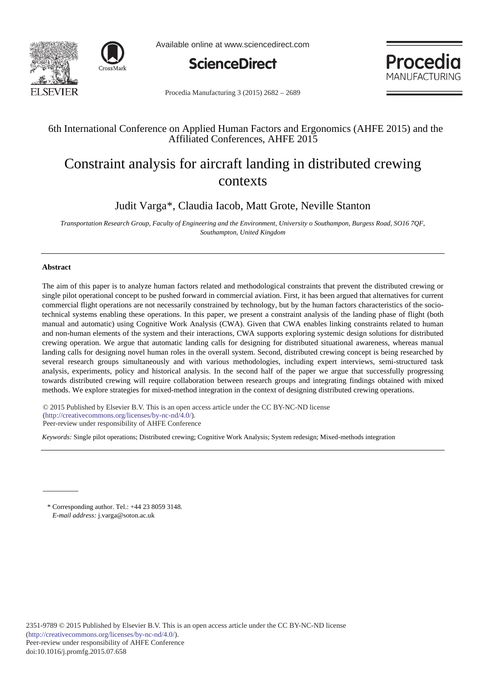

Available online at www.sciencedirect.com





Procedia Manufacturing 3 (2015) 2682 - 2689

# 6th International Conference on Applied Human Factors and Ergonomics (AHFE 2015) and the Affiliated Conferences, AHFE 2015

# Constraint analysis for aircraft landing in distributed crewing contexts

Judit Varga\*, Claudia Iacob, Matt Grote, Neville Stanton

*Transportation Research Group, Faculty of Engineering and the Environment, University o Southampon, Burgess Road, SO16 7QF, Southampton, United Kingdom*

# **Abstract**

The aim of this paper is to analyze human factors related and methodological constraints that prevent the distributed crewing or single pilot operational concept to be pushed forward in commercial aviation. First, it has been argued that alternatives for current commercial flight operations are not necessarily constrained by technology, but by the human factors characteristics of the sociotechnical systems enabling these operations. In this paper, we present a constraint analysis of the landing phase of flight (both manual and automatic) using Cognitive Work Analysis (CWA). Given that CWA enables linking constraints related to human and non-human elements of the system and their interactions, CWA supports exploring systemic design solutions for distributed crewing operation. We argue that automatic landing calls for designing for distributed situational awareness, whereas manual landing calls for designing novel human roles in the overall system. Second, distributed crewing concept is being researched by several research groups simultaneously and with various methodologies, including expert interviews, semi-structured task analysis, experiments, policy and historical analysis. In the second half of the paper we argue that successfully progressing towards distributed crewing will require collaboration between research groups and integrating findings obtained with mixed methods. We explore strategies for mixed-method integration in the context of designing distributed crewing operations.

© 2015 The Authors. Published by Elsevier B.V. © 2015 Published by Elsevier B.V. This is an open access article under the CC BY-NC-ND license Peer-review under responsibility of AHFE Conference. Peer-review under responsibility of AHFE Conference(http://creativecommons.org/licenses/by-nc-nd/4.0/).

*Keywords:* Single pilot operations; Distributed crewing; Cognitive Work Analysis; System redesign; Mixed-methods integration

\* Corresponding author. Tel.: +44 23 8059 3148. *E-mail address:* j.varga@soton.ac.uk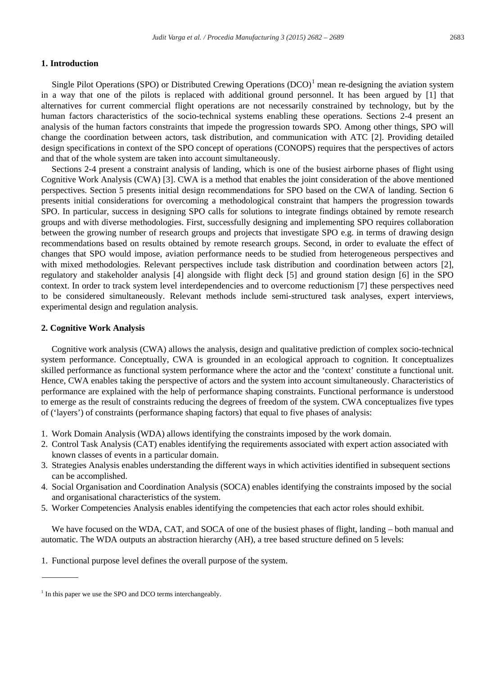# **1. Introduction**

Single Pilot Operations (SPO) or Distributed Crewing Operations  $(DCO)^1$  mean re-designing the aviation system in a way that one of the pilots is replaced with additional ground personnel. It has been argued by [1] that alternatives for current commercial flight operations are not necessarily constrained by technology, but by the human factors characteristics of the socio-technical systems enabling these operations. Sections 2-4 present an analysis of the human factors constraints that impede the progression towards SPO. Among other things, SPO will change the coordination between actors, task distribution, and communication with ATC [2]. Providing detailed design specifications in context of the SPO concept of operations (CONOPS) requires that the perspectives of actors and that of the whole system are taken into account simultaneously.

Sections 2-4 present a constraint analysis of landing, which is one of the busiest airborne phases of flight using Cognitive Work Analysis (CWA) [3]. CWA is a method that enables the joint consideration of the above mentioned perspectives. Section 5 presents initial design recommendations for SPO based on the CWA of landing. Section 6 presents initial considerations for overcoming a methodological constraint that hampers the progression towards SPO. In particular, success in designing SPO calls for solutions to integrate findings obtained by remote research groups and with diverse methodologies. First, successfully designing and implementing SPO requires collaboration between the growing number of research groups and projects that investigate SPO e.g. in terms of drawing design recommendations based on results obtained by remote research groups. Second, in order to evaluate the effect of changes that SPO would impose, aviation performance needs to be studied from heterogeneous perspectives and with mixed methodologies. Relevant perspectives include task distribution and coordination between actors [2], regulatory and stakeholder analysis [4] alongside with flight deck [5] and ground station design [6] in the SPO context. In order to track system level interdependencies and to overcome reductionism [7] these perspectives need to be considered simultaneously. Relevant methods include semi-structured task analyses, expert interviews, experimental design and regulation analysis.

#### **2. Cognitive Work Analysis**

Cognitive work analysis (CWA) allows the analysis, design and qualitative prediction of complex socio-technical system performance. Conceptually, CWA is grounded in an ecological approach to cognition. It conceptualizes skilled performance as functional system performance where the actor and the 'context' constitute a functional unit. Hence, CWA enables taking the perspective of actors and the system into account simultaneously. Characteristics of performance are explained with the help of performance shaping constraints. Functional performance is understood to emerge as the result of constraints reducing the degrees of freedom of the system. CWA conceptualizes five types of ('layers') of constraints (performance shaping factors) that equal to five phases of analysis:

- 1. Work Domain Analysis (WDA) allows identifying the constraints imposed by the work domain.
- 2. Control Task Analysis (CAT) enables identifying the requirements associated with expert action associated with known classes of events in a particular domain.
- 3. Strategies Analysis enables understanding the different ways in which activities identified in subsequent sections can be accomplished.
- 4. Social Organisation and Coordination Analysis (SOCA) enables identifying the constraints imposed by the social and organisational characteristics of the system.
- 5. Worker Competencies Analysis enables identifying the competencies that each actor roles should exhibit.

We have focused on the WDA, CAT, and SOCA of one of the busiest phases of flight, landing – both manual and automatic. The WDA outputs an abstraction hierarchy (AH), a tree based structure defined on 5 levels:

1. Functional purpose level defines the overall purpose of the system.

 $1$  In this paper we use the SPO and DCO terms interchangeably.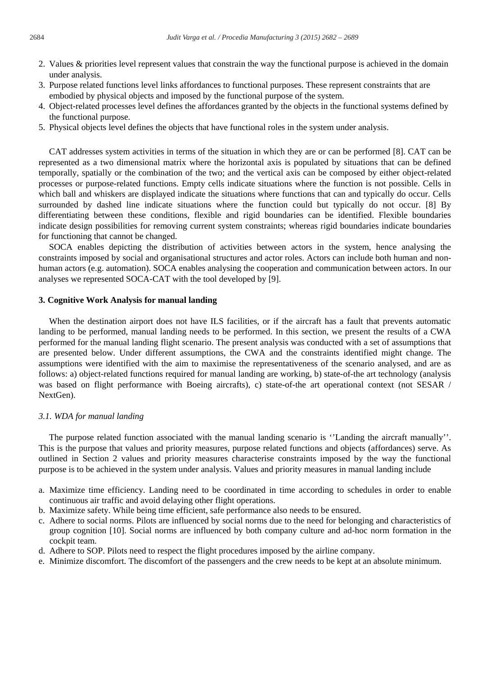- 2. Values & priorities level represent values that constrain the way the functional purpose is achieved in the domain under analysis.
- 3. Purpose related functions level links affordances to functional purposes. These represent constraints that are embodied by physical objects and imposed by the functional purpose of the system.
- 4. Object-related processes level defines the affordances granted by the objects in the functional systems defined by the functional purpose.
- 5. Physical objects level defines the objects that have functional roles in the system under analysis.

CAT addresses system activities in terms of the situation in which they are or can be performed [8]. CAT can be represented as a two dimensional matrix where the horizontal axis is populated by situations that can be defined temporally, spatially or the combination of the two; and the vertical axis can be composed by either object-related processes or purpose-related functions. Empty cells indicate situations where the function is not possible. Cells in which ball and whiskers are displayed indicate the situations where functions that can and typically do occur. Cells surrounded by dashed line indicate situations where the function could but typically do not occur. [8] By differentiating between these conditions, flexible and rigid boundaries can be identified. Flexible boundaries indicate design possibilities for removing current system constraints; whereas rigid boundaries indicate boundaries for functioning that cannot be changed.

SOCA enables depicting the distribution of activities between actors in the system, hence analysing the constraints imposed by social and organisational structures and actor roles. Actors can include both human and nonhuman actors (e.g. automation). SOCA enables analysing the cooperation and communication between actors. In our analyses we represented SOCA-CAT with the tool developed by [9].

#### **3. Cognitive Work Analysis for manual landing**

When the destination airport does not have ILS facilities, or if the aircraft has a fault that prevents automatic landing to be performed, manual landing needs to be performed. In this section, we present the results of a CWA performed for the manual landing flight scenario. The present analysis was conducted with a set of assumptions that are presented below. Under different assumptions, the CWA and the constraints identified might change. The assumptions were identified with the aim to maximise the representativeness of the scenario analysed, and are as follows: a) object-related functions required for manual landing are working, b) state-of-the art technology (analysis was based on flight performance with Boeing aircrafts), c) state-of-the art operational context (not SESAR / NextGen).

# *3.1. WDA for manual landing*

The purpose related function associated with the manual landing scenario is ''Landing the aircraft manually''. This is the purpose that values and priority measures, purpose related functions and objects (affordances) serve. As outlined in Section 2 values and priority measures characterise constraints imposed by the way the functional purpose is to be achieved in the system under analysis. Values and priority measures in manual landing include

- a. Maximize time efficiency. Landing need to be coordinated in time according to schedules in order to enable continuous air traffic and avoid delaying other flight operations.
- b. Maximize safety. While being time efficient, safe performance also needs to be ensured.
- c. Adhere to social norms. Pilots are influenced by social norms due to the need for belonging and characteristics of group cognition [10]. Social norms are influenced by both company culture and ad-hoc norm formation in the cockpit team.
- d. Adhere to SOP. Pilots need to respect the flight procedures imposed by the airline company.
- e. Minimize discomfort. The discomfort of the passengers and the crew needs to be kept at an absolute minimum.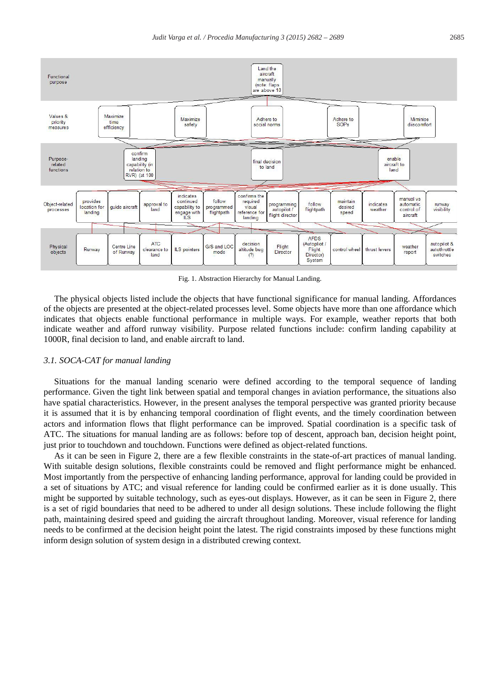

Fig. 1. Abstraction Hierarchy for Manual Landing.

The physical objects listed include the objects that have functional significance for manual landing. Affordances of the objects are presented at the object-related processes level. Some objects have more than one affordance which indicates that objects enable functional performance in multiple ways. For example, weather reports that both indicate weather and afford runway visibility. Purpose related functions include: confirm landing capability at 1000R, final decision to land, and enable aircraft to land.

# *3.1. SOCA-CAT for manual landing*

Situations for the manual landing scenario were defined according to the temporal sequence of landing performance. Given the tight link between spatial and temporal changes in aviation performance, the situations also have spatial characteristics. However, in the present analyses the temporal perspective was granted priority because it is assumed that it is by enhancing temporal coordination of flight events, and the timely coordination between actors and information flows that flight performance can be improved. Spatial coordination is a specific task of ATC. The situations for manual landing are as follows: before top of descent, approach ban, decision height point, just prior to touchdown and touchdown. Functions were defined as object-related functions.

As it can be seen in Figure 2, there are a few flexible constraints in the state-of-art practices of manual landing. With suitable design solutions, flexible constraints could be removed and flight performance might be enhanced. Most importantly from the perspective of enhancing landing performance, approval for landing could be provided in a set of situations by ATC; and visual reference for landing could be confirmed earlier as it is done usually. This might be supported by suitable technology, such as eyes-out displays. However, as it can be seen in Figure 2, there is a set of rigid boundaries that need to be adhered to under all design solutions. These include following the flight path, maintaining desired speed and guiding the aircraft throughout landing. Moreover, visual reference for landing needs to be confirmed at the decision height point the latest. The rigid constraints imposed by these functions might inform design solution of system design in a distributed crewing context.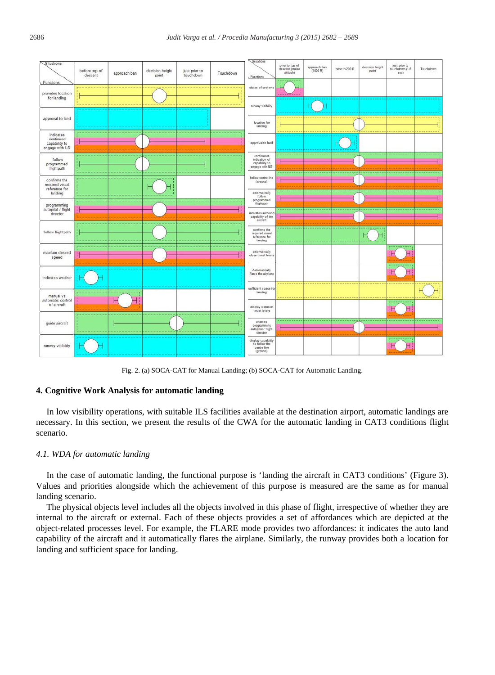

Fig. 2. (a) SOCA-CAT for Manual Landing; (b) SOCA-CAT for Automatic Landing.

#### **4. Cognitive Work Analysis for automatic landing**

In low visibility operations, with suitable ILS facilities available at the destination airport, automatic landings are necessary. In this section, we present the results of the CWA for the automatic landing in CAT3 conditions flight scenario.

# *4.1. WDA for automatic landing*

In the case of automatic landing, the functional purpose is 'landing the aircraft in CAT3 conditions' (Figure 3). Values and priorities alongside which the achievement of this purpose is measured are the same as for manual landing scenario.

The physical objects level includes all the objects involved in this phase of flight, irrespective of whether they are internal to the aircraft or external. Each of these objects provides a set of affordances which are depicted at the object-related processes level. For example, the FLARE mode provides two affordances: it indicates the auto land capability of the aircraft and it automatically flares the airplane. Similarly, the runway provides both a location for landing and sufficient space for landing.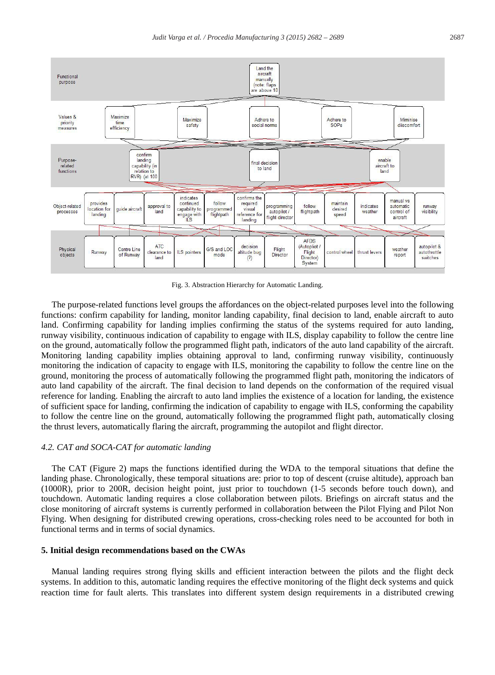

Fig. 3. Abstraction Hierarchy for Automatic Landing.

The purpose-related functions level groups the affordances on the object-related purposes level into the following functions: confirm capability for landing, monitor landing capability, final decision to land, enable aircraft to auto land. Confirming capability for landing implies confirming the status of the systems required for auto landing, runway visibility, continuous indication of capability to engage with ILS, display capability to follow the centre line on the ground, automatically follow the programmed flight path, indicators of the auto land capability of the aircraft. Monitoring landing capability implies obtaining approval to land, confirming runway visibility, continuously monitoring the indication of capacity to engage with ILS, monitoring the capability to follow the centre line on the ground, monitoring the process of automatically following the programmed flight path, monitoring the indicators of auto land capability of the aircraft. The final decision to land depends on the conformation of the required visual reference for landing. Enabling the aircraft to auto land implies the existence of a location for landing, the existence of sufficient space for landing, confirming the indication of capability to engage with ILS, conforming the capability to follow the centre line on the ground, automatically following the programmed flight path, automatically closing the thrust levers, automatically flaring the aircraft, programming the autopilot and flight director.

#### *4.2. CAT and SOCA-CAT for automatic landing*

The CAT (Figure 2) maps the functions identified during the WDA to the temporal situations that define the landing phase. Chronologically, these temporal situations are: prior to top of descent (cruise altitude), approach ban (1000R), prior to 200R, decision height point, just prior to touchdown (1-5 seconds before touch down), and touchdown. Automatic landing requires a close collaboration between pilots. Briefings on aircraft status and the close monitoring of aircraft systems is currently performed in collaboration between the Pilot Flying and Pilot Non Flying. When designing for distributed crewing operations, cross-checking roles need to be accounted for both in functional terms and in terms of social dynamics.

#### **5. Initial design recommendations based on the CWAs**

Manual landing requires strong flying skills and efficient interaction between the pilots and the flight deck systems. In addition to this, automatic landing requires the effective monitoring of the flight deck systems and quick reaction time for fault alerts. This translates into different system design requirements in a distributed crewing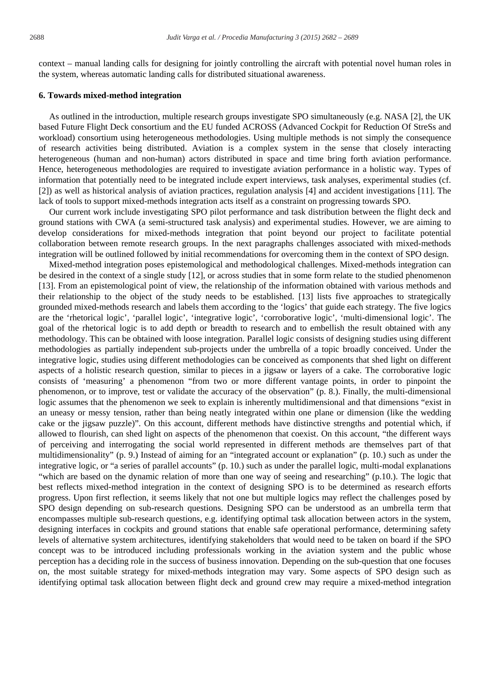context – manual landing calls for designing for jointly controlling the aircraft with potential novel human roles in the system, whereas automatic landing calls for distributed situational awareness.

## **6. Towards mixed-method integration**

As outlined in the introduction, multiple research groups investigate SPO simultaneously (e.g. NASA [2], the UK based Future Flight Deck consortium and the EU funded ACROSS (Advanced Cockpit for Reduction Of StreSs and workload) consortium using heterogeneous methodologies. Using multiple methods is not simply the consequence of research activities being distributed. Aviation is a complex system in the sense that closely interacting heterogeneous (human and non-human) actors distributed in space and time bring forth aviation performance. Hence, heterogeneous methodologies are required to investigate aviation performance in a holistic way. Types of information that potentially need to be integrated include expert interviews, task analyses, experimental studies (cf. [2]) as well as historical analysis of aviation practices, regulation analysis [4] and accident investigations [11]. The lack of tools to support mixed-methods integration acts itself as a constraint on progressing towards SPO.

Our current work include investigating SPO pilot performance and task distribution between the flight deck and ground stations with CWA (a semi-structured task analysis) and experimental studies. However, we are aiming to develop considerations for mixed-methods integration that point beyond our project to facilitate potential collaboration between remote research groups. In the next paragraphs challenges associated with mixed-methods integration will be outlined followed by initial recommendations for overcoming them in the context of SPO design.

Mixed-method integration poses epistemological and methodological challenges. Mixed-methods integration can be desired in the context of a single study [12], or across studies that in some form relate to the studied phenomenon [13]. From an epistemological point of view, the relationship of the information obtained with various methods and their relationship to the object of the study needs to be established. [13] lists five approaches to strategically grounded mixed-methods research and labels them according to the 'logics' that guide each strategy. The five logics are the 'rhetorical logic', 'parallel logic', 'integrative logic', 'corroborative logic', 'multi-dimensional logic'. The goal of the rhetorical logic is to add depth or breadth to research and to embellish the result obtained with any methodology. This can be obtained with loose integration. Parallel logic consists of designing studies using different methodologies as partially independent sub-projects under the umbrella of a topic broadly conceived. Under the integrative logic, studies using different methodologies can be conceived as components that shed light on different aspects of a holistic research question, similar to pieces in a jigsaw or layers of a cake. The corroborative logic consists of 'measuring' a phenomenon "from two or more different vantage points, in order to pinpoint the phenomenon, or to improve, test or validate the accuracy of the observation" (p. 8.). Finally, the multi-dimensional logic assumes that the phenomenon we seek to explain is inherently multidimensional and that dimensions "exist in an uneasy or messy tension, rather than being neatly integrated within one plane or dimension (like the wedding cake or the jigsaw puzzle)". On this account, different methods have distinctive strengths and potential which, if allowed to flourish, can shed light on aspects of the phenomenon that coexist. On this account, "the different ways of perceiving and interrogating the social world represented in different methods are themselves part of that multidimensionality" (p. 9.) Instead of aiming for an "integrated account or explanation" (p. 10.) such as under the integrative logic, or "a series of parallel accounts" (p. 10.) such as under the parallel logic, multi-modal explanations "which are based on the dynamic relation of more than one way of seeing and researching" (p.10.). The logic that best reflects mixed-method integration in the context of designing SPO is to be determined as research efforts progress. Upon first reflection, it seems likely that not one but multiple logics may reflect the challenges posed by SPO design depending on sub-research questions. Designing SPO can be understood as an umbrella term that encompasses multiple sub-research questions, e.g. identifying optimal task allocation between actors in the system, designing interfaces in cockpits and ground stations that enable safe operational performance, determining safety levels of alternative system architectures, identifying stakeholders that would need to be taken on board if the SPO concept was to be introduced including professionals working in the aviation system and the public whose perception has a deciding role in the success of business innovation. Depending on the sub-question that one focuses on, the most suitable strategy for mixed-methods integration may vary. Some aspects of SPO design such as identifying optimal task allocation between flight deck and ground crew may require a mixed-method integration